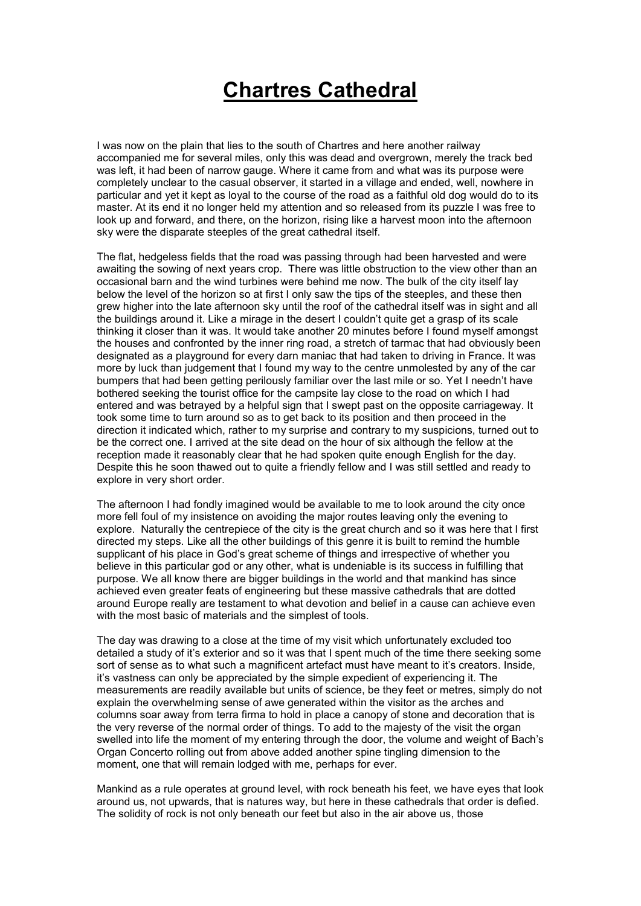## **Chartres Cathedral**

I was now on the plain that lies to the south of Chartres and here another railway accompanied me for several miles, only this was dead and overgrown, merely the track bed was left, it had been of narrow gauge. Where it came from and what was its purpose were completely unclear to the casual observer, it started in a village and ended, well, nowhere in particular and yet it kept as loyal to the course of the road as a faithful old dog would do to its master. At its end it no longer held my attention and so released from its puzzle I was free to look up and forward, and there, on the horizon, rising like a harvest moon into the afternoon sky were the disparate steeples of the great cathedral itself.

The flat, hedgeless fields that the road was passing through had been harvested and were awaiting the sowing of next years crop. There was little obstruction to the view other than an occasional barn and the wind turbines were behind me now. The bulk of the city itself lay below the level of the horizon so at first I only saw the tips of the steeples, and these then grew higher into the late afternoon sky until the roof of the cathedral itself was in sight and all the buildings around it. Like a mirage in the desert I couldn't quite get a grasp of its scale thinking it closer than it was. It would take another 20 minutes before I found myself amongst the houses and confronted by the inner ring road, a stretch of tarmac that had obviously been designated as a playground for every darn maniac that had taken to driving in France. It was more by luck than judgement that I found my way to the centre unmolested by any of the car bumpers that had been getting perilously familiar over the last mile or so. Yet I needn't have bothered seeking the tourist office for the campsite lay close to the road on which I had entered and was betrayed by a helpful sign that I swept past on the opposite carriageway. It took some time to turn around so as to get back to its position and then proceed in the direction it indicated which, rather to my surprise and contrary to my suspicions, turned out to be the correct one. I arrived at the site dead on the hour of six although the fellow at the reception made it reasonably clear that he had spoken quite enough English for the day. Despite this he soon thawed out to quite a friendly fellow and I was still settled and ready to explore in very short order.

The afternoon I had fondly imagined would be available to me to look around the city once more fell foul of my insistence on avoiding the major routes leaving only the evening to explore. Naturally the centrepiece of the city is the great church and so it was here that I first directed my steps. Like all the other buildings of this genre it is built to remind the humble supplicant of his place in God's great scheme of things and irrespective of whether you believe in this particular god or any other, what is undeniable is its success in fulfilling that purpose. We all know there are bigger buildings in the world and that mankind has since achieved even greater feats of engineering but these massive cathedrals that are dotted around Europe really are testament to what devotion and belief in a cause can achieve even with the most basic of materials and the simplest of tools.

The day was drawing to a close at the time of my visit which unfortunately excluded too detailed a study of it's exterior and so it was that I spent much of the time there seeking some sort of sense as to what such a magnificent artefact must have meant to it's creators. Inside, it's vastness can only be appreciated by the simple expedient of experiencing it. The measurements are readily available but units of science, be they feet or metres, simply do not explain the overwhelming sense of awe generated within the visitor as the arches and columns soar away from terra firma to hold in place a canopy of stone and decoration that is the very reverse of the normal order of things. To add to the majesty of the visit the organ swelled into life the moment of my entering through the door, the volume and weight of Bach's Organ Concerto rolling out from above added another spine tingling dimension to the moment, one that will remain lodged with me, perhaps for ever.

Mankind as a rule operates at ground level, with rock beneath his feet, we have eyes that look around us, not upwards, that is natures way, but here in these cathedrals that order is defied. The solidity of rock is not only beneath our feet but also in the air above us, those